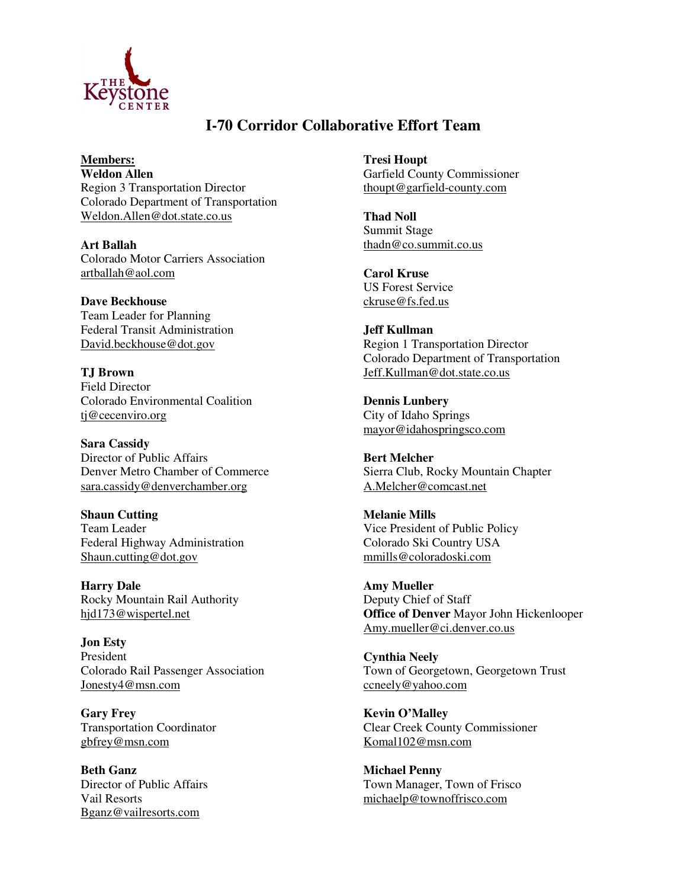

## **I-70 Corridor Collaborative Effort Team**

**Members: Weldon Allen** Region 3 Transportation Director Colorado Department of Transportation Weldon.Allen@dot.state.co.us

**Art Ballah** Colorado Motor Carriers Association artballah@aol.com

**Dave Beckhouse** Team Leader for Planning Federal Transit Administration David.beckhouse@dot.gov

**TJ Brown** Field Director Colorado Environmental Coalition tj@cecenviro.org

**Sara Cassidy** Director of Public Affairs Denver Metro Chamber of Commerce sara.cassidy@denverchamber.org

**Shaun Cutting** Team Leader Federal Highway Administration Shaun.cutting@dot.gov

**Harry Dale** Rocky Mountain Rail Authority hjd173@wispertel.net

**Jon Esty** President Colorado Rail Passenger Association Jonesty4@msn.com

**Gary Frey** Transportation Coordinator gbfrey@msn.com

**Beth Ganz** Director of Public Affairs Vail Resorts Bganz@vailresorts.com

**Tresi Houpt** Garfield County Commissioner thoupt@garfield-county.com

**Thad Noll** Summit Stage thadn@co.summit.co.us

**Carol Kruse** US Forest Service ckruse@fs.fed.us

**Jeff Kullman** Region 1 Transportation Director Colorado Department of Transportation Jeff.Kullman@dot.state.co.us

**Dennis Lunbery** City of Idaho Springs mayor@idahospringsco.com

**Bert Melcher** Sierra Club, Rocky Mountain Chapter A.Melcher@comcast.net

**Melanie Mills** Vice President of Public Policy Colorado Ski Country USA mmills@coloradoski.com

**Amy Mueller** Deputy Chief of Staff **Office of Denver** Mayor John Hickenlooper Amy.mueller@ci.denver.co.us

**Cynthia Neely** Town of Georgetown, Georgetown Trust ccneely@yahoo.com

**Kevin O'Malley** Clear Creek County Commissioner Komal102@msn.com

**Michael Penny** Town Manager, Town of Frisco michaelp@townoffrisco.com